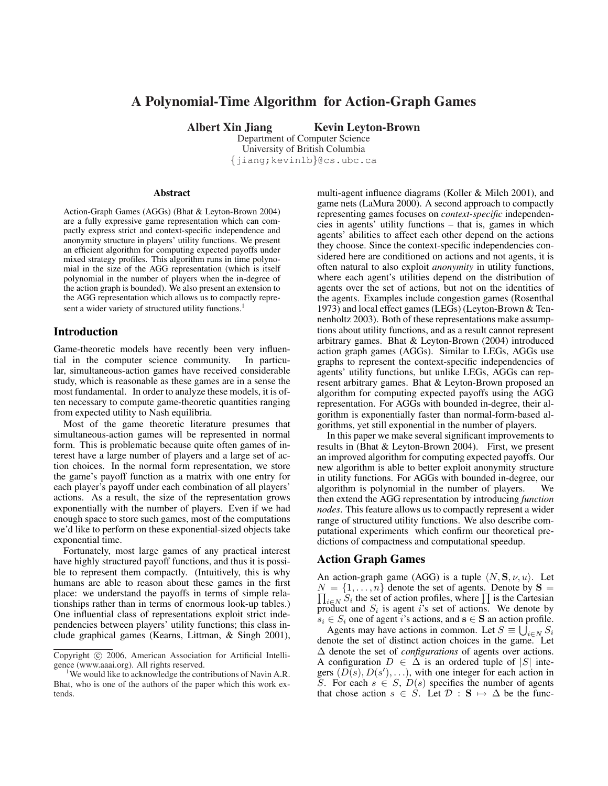# A Polynomial-Time Algorithm for Action-Graph Games

Albert Xin Jiang Kevin Leyton-Brown

Department of Computer Science University of British Columbia {jiang;kevinlb}@cs.ubc.ca

#### Abstract

Action-Graph Games (AGGs) (Bhat & Leyton-Brown 2004) are a fully expressive game representation which can compactly express strict and context-specific independence and anonymity structure in players' utility functions. We present an efficient algorithm for computing expected payoffs under mixed strategy profiles. This algorithm runs in time polynomial in the size of the AGG representation (which is itself polynomial in the number of players when the in-degree of the action graph is bounded). We also present an extension to the AGG representation which allows us to compactly represent a wider variety of structured utility functions.<sup>1</sup>

### Introduction

Game-theoretic models have recently been very influential in the computer science community. In particular, simultaneous-action games have received considerable study, which is reasonable as these games are in a sense the most fundamental. In order to analyze these models, it is often necessary to compute game-theoretic quantities ranging from expected utility to Nash equilibria.

Most of the game theoretic literature presumes that simultaneous-action games will be represented in normal form. This is problematic because quite often games of interest have a large number of players and a large set of action choices. In the normal form representation, we store the game's payoff function as a matrix with one entry for each player's payoff under each combination of all players' actions. As a result, the size of the representation grows exponentially with the number of players. Even if we had enough space to store such games, most of the computations we'd like to perform on these exponential-sized objects take exponential time.

Fortunately, most large games of any practical interest have highly structured payoff functions, and thus it is possible to represent them compactly. (Intuitively, this is why humans are able to reason about these games in the first place: we understand the payoffs in terms of simple relationships rather than in terms of enormous look-up tables.) One influential class of representations exploit strict independencies between players' utility functions; this class include graphical games (Kearns, Littman, & Singh 2001), multi-agent influence diagrams (Koller & Milch 2001), and game nets (LaMura 2000). A second approach to compactly representing games focuses on *context-specific* independencies in agents' utility functions – that is, games in which agents' abilities to affect each other depend on the actions they choose. Since the context-specific independencies considered here are conditioned on actions and not agents, it is often natural to also exploit *anonymity* in utility functions, where each agent's utilities depend on the distribution of agents over the set of actions, but not on the identities of the agents. Examples include congestion games (Rosenthal 1973) and local effect games (LEGs) (Leyton-Brown & Tennenholtz 2003). Both of these representations make assumptions about utility functions, and as a result cannot represent arbitrary games. Bhat & Leyton-Brown (2004) introduced action graph games (AGGs). Similar to LEGs, AGGs use graphs to represent the context-specific independencies of agents' utility functions, but unlike LEGs, AGGs can represent arbitrary games. Bhat & Leyton-Brown proposed an algorithm for computing expected payoffs using the AGG representation. For AGGs with bounded in-degree, their algorithm is exponentially faster than normal-form-based algorithms, yet still exponential in the number of players.

In this paper we make several significant improvements to results in (Bhat & Leyton-Brown 2004). First, we present an improved algorithm for computing expected payoffs. Our new algorithm is able to better exploit anonymity structure in utility functions. For AGGs with bounded in-degree, our algorithm is polynomial in the number of players. We then extend the AGG representation by introducing *function nodes*. This feature allows us to compactly represent a wider range of structured utility functions. We also describe computational experiments which confirm our theoretical predictions of compactness and computational speedup.

#### Action Graph Games

An action-graph game (AGG) is a tuple  $\langle N, S, \nu, u \rangle$ . Let  $N = \{1, \ldots, n\}$  denote the set of agents. Denote by  $S =$  $i \in N$  S<sub>i</sub> the set of action profiles, where  $\prod$  is the Cartesian  $i \in N$  S<sub>i</sub> the set of action profiles, where  $\prod$  is the Cartesian product and  $S_i$  is agent i's set of actions. We denote by  $s_i \in S_i$  one of agent i's actions, and  $\mathbf{s} \in \mathbf{S}$  an action profile.

Agents may have actions in common. Let  $S \equiv \bigcup_{i \in N} S_i$ denote the set of distinct action choices in the game. Let ∆ denote the set of *configurations* of agents over actions. A configuration  $D \in \Delta$  is an ordered tuple of |S| integers  $(D(s), D(s'), \ldots)$ , with one integer for each action in S. For each  $s \in S$ ,  $D(s)$  specifies the number of agents that chose action  $s \in S$ . Let  $\mathcal{D} : \mathbf{S} \mapsto \Delta$  be the func-

Copyright (c) 2006, American Association for Artificial Intelligence (www.aaai.org). All rights reserved.

<sup>&</sup>lt;sup>1</sup>We would like to acknowledge the contributions of Navin A.R. Bhat, who is one of the authors of the paper which this work extends.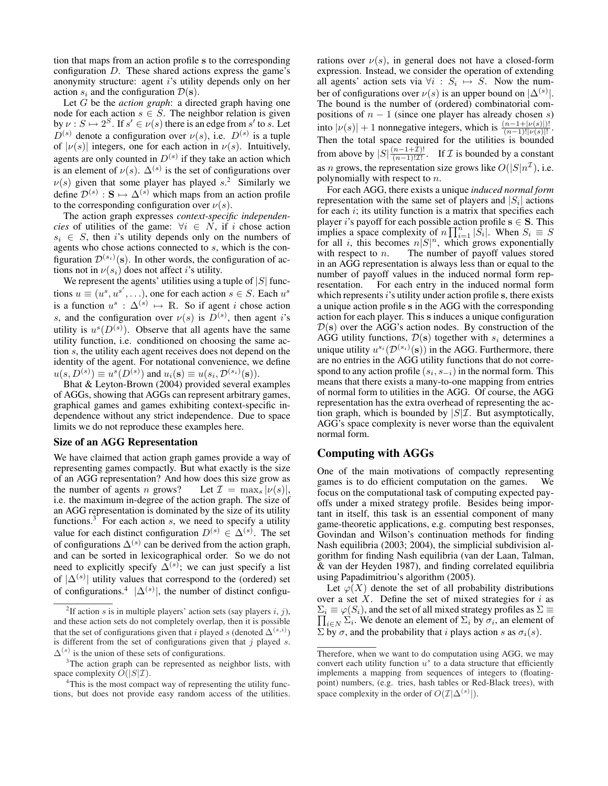tion that maps from an action profile s to the corresponding configuration D. These shared actions express the game's anonymity structure: agent i's utility depends only on her action  $s_i$  and the configuration  $\mathcal{D}(\mathbf{s})$ .

Let G be the *action graph*: a directed graph having one node for each action  $s \in S$ . The neighbor relation is given by  $\nu : S \mapsto 2^S$ . If  $s' \in \nu(s)$  there is an edge from s' to s. Let  $D^{(s)}$  denote a configuration over  $\nu(s)$ , i.e.  $D^{(s)}$  is a tuple of  $|v(s)|$  integers, one for each action in  $v(s)$ . Intuitively, agents are only counted in  $D^{(s)}$  if they take an action which is an element of  $\nu(s)$ .  $\Delta^{(s)}$  is the set of configurations over  $\nu(s)$  given that some player has played s.<sup>2</sup> Similarly we define  $\mathcal{D}^{(s)}$  :  $S \mapsto \Delta^{(s)}$  which maps from an action profile to the corresponding configuration over  $\nu(s)$ .

The action graph expresses *context-specific independencies* of utilities of the game:  $\forall i \in N$ , if i chose action  $s_i \in S$ , then i's utility depends only on the numbers of agents who chose actions connected to s, which is the configuration  $\mathcal{D}^{(s_i)}(\mathbf{s})$ . In other words, the configuration of actions not in  $\nu(s_i)$  does not affect *i*'s utility.

We represent the agents' utilities using a tuple of  $|S|$  functions  $u \equiv (u^s, u^{s'}, \dots)$ , one for each action  $s \in S$ . Each  $u^s$ is a function  $u^s : \Delta^{(s)} \mapsto \mathbb{R}$ . So if agent *i* chose action s, and the configuration over  $\nu(s)$  is  $D^{(s)}$ , then agent i's utility is  $u^s(D^{(s)})$ . Observe that all agents have the same utility function, i.e. conditioned on choosing the same action s, the utility each agent receives does not depend on the identity of the agent. For notational convenience, we define  $u(s, D^{(s)}) \equiv u^s(D^{(s)})$  and  $u_i(\mathbf{s}) \equiv u(s_i, \mathcal{D}^{(s_i)}(\mathbf{s})).$ 

Bhat & Leyton-Brown (2004) provided several examples of AGGs, showing that AGGs can represent arbitrary games, graphical games and games exhibiting context-specific independence without any strict independence. Due to space limits we do not reproduce these examples here.

### Size of an AGG Representation

We have claimed that action graph games provide a way of representing games compactly. But what exactly is the size of an AGG representation? And how does this size grow as the number of agents n grows? Let  $\mathcal{I} = \max_s |\nu(s)|$ , i.e. the maximum in-degree of the action graph. The size of an AGG representation is dominated by the size of its utility functions.<sup>3</sup> For each action  $s$ , we need to specify a utility value for each distinct configuration  $D^{(s)} \in \Delta^{(s)}$ . The set of configurations  $\Delta^{(s)}$  can be derived from the action graph, and can be sorted in lexicographical order. So we do not need to explicitly specify  $\Delta^{(s)}$ ; we can just specify a list of  $|\Delta^{(s)}|$  utility values that correspond to the (ordered) set of configurations.<sup>4</sup>  $|\Delta^{(s)}|$ , the number of distinct configurations over  $\nu(s)$ , in general does not have a closed-form expression. Instead, we consider the operation of extending all agents' action sets via  $\forall i : S_i \mapsto S$ . Now the number of configurations over  $\nu(s)$  is an upper bound on  $|\Delta^{(s)}|$ . The bound is the number of (ordered) combinatorial compositions of  $n - 1$  (since one player has already chosen s) into  $|\nu(s)| + 1$  nonnegative integers, which is  $\frac{(n-1+|\nu(s)|)!}{(n-1)! |\nu(s)|!}$ . Then the total space required for the utilities is bounded from above by  $|S| \frac{(n-1+\mathcal{I})!}{(n-1)! \mathcal{I}!}$  $\frac{(n-1)+1}{(n-1)!}\frac{1}{\mathcal{I}!}$ . If  $\mathcal I$  is bounded by a constant as *n* grows, the representation size grows like  $O(|S|n^{\mathcal{I}})$ , i.e. polynomially with respect to n.

For each AGG, there exists a unique *induced normal form* representation with the same set of players and  $|S_i|$  actions for each  $i$ ; its utility function is a matrix that specifies each player *i*'s payoff for each possible action profile  $s \in S$ . This implies a space complexity of  $n \prod_{i=1}^{n} |S_i|$ . When  $S_i \equiv S$ for all i, this becomes  $n|S|^n$ , which grows exponentially with respect to  $n$ . The number of payoff values stored in an AGG representation is always less than or equal to the number of payoff values in the induced normal form representation. For each entry in the induced normal form which represents  $i$ 's utility under action profile s, there exists a unique action profile s in the AGG with the corresponding action for each player. This s induces a unique configuration  $\mathcal{D}(s)$  over the AGG's action nodes. By construction of the AGG utility functions,  $\mathcal{D}(\mathbf{s})$  together with  $s_i$  determines a unique utility  $u^{s_i}(\mathcal{D}^{(s_i)}(s))$  in the AGG. Furthermore, there are no entries in the AGG utility functions that do not correspond to any action profile  $(s_i, s_{-i})$  in the normal form. This means that there exists a many-to-one mapping from entries of normal form to utilities in the AGG. Of course, the AGG representation has the extra overhead of representing the action graph, which is bounded by  $|S|\mathcal{I}$ . But asymptotically, AGG's space complexity is never worse than the equivalent normal form.

### Computing with AGGs

One of the main motivations of compactly representing games is to do efficient computation on the games. We focus on the computational task of computing expected payoffs under a mixed strategy profile. Besides being important in itself, this task is an essential component of many game-theoretic applications, e.g. computing best responses, Govindan and Wilson's continuation methods for finding Nash equilibria (2003; 2004), the simplicial subdivision algorithm for finding Nash equilibria (van der Laan, Talman, & van der Heyden 1987), and finding correlated equilibria using Papadimitriou's algorithm (2005).

Let  $\varphi(X)$  denote the set of all probability distributions over a set  $X$ . Define the set of mixed strategies for  $i$  as  $\Sigma_i \equiv \varphi(S_i)$ , and the set of all mixed strategy profiles as  $\Sigma \equiv \frac{1}{2}$  $i \in N$   $\Sigma_i$ . We denote an element of  $\Sigma_i$  by  $\sigma_i$ , an element of  $\Sigma$  by  $\sigma$ , and the probability that i plays action s as  $\sigma_i(s)$ .

<sup>&</sup>lt;sup>2</sup>If action s is in multiple players' action sets (say players i, j), and these action sets do not completely overlap, then it is possible that the set of configurations given that i played s (denoted  $\Delta^{(s,i)}$ ) is different from the set of configurations given that  $j$  played  $s$ .  $\Delta^{(s)}$  is the union of these sets of configurations.

<sup>&</sup>lt;sup>3</sup>The action graph can be represented as neighbor lists, with space complexity  $O(|S|\mathcal{I})$ .

<sup>&</sup>lt;sup>4</sup>This is the most compact way of representing the utility functions, but does not provide easy random access of the utilities.

Therefore, when we want to do computation using AGG, we may convert each utility function  $u^s$  to a data structure that efficiently implements a mapping from sequences of integers to (floatingpoint) numbers, (e.g. tries, hash tables or Red-Black trees), with space complexity in the order of  $O(\mathcal{I}|\Delta^{(s)}|)$ .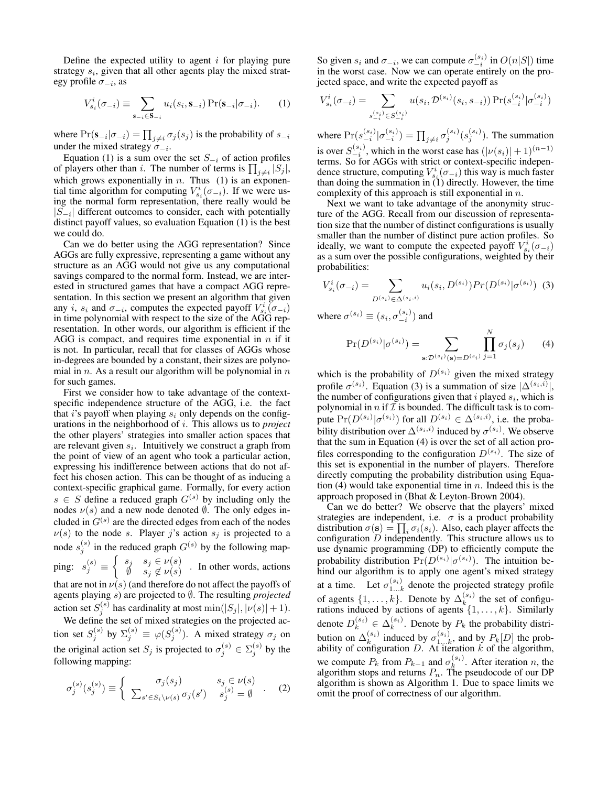Define the expected utility to agent  $i$  for playing pure strategy  $s_i$ , given that all other agents play the mixed strategy profile  $\sigma_{-i}$ , as

$$
V_{s_i}^i(\sigma_{-i}) \equiv \sum_{\mathbf{s}_{-i} \in \mathbf{S}_{-i}} u_i(s_i, \mathbf{s}_{-i}) \Pr(\mathbf{s}_{-i}|\sigma_{-i}).
$$
 (1)

where  $Pr(\mathbf{s}_{-i} | \sigma_{-i}) = \prod_{j \neq i} \sigma_j(s_j)$  is the probability of  $s_{-i}$ under the mixed strategy  $\sigma_{-i}$ .

Equation (1) is a sum over the set  $S_{-i}$  of action profiles Equation (1) is a sum over the set  $S_{-i}$  of action profiles<br>of players other than i. The number of terms is  $\prod_{j \neq i} |S_j|$ , which grows exponentially in  $n$ . Thus (1) is an exponential time algorithm for computing  $V_{s_i}^i(\sigma_{-i})$ . If we were using the normal form representation, there really would be  $|S_{-i}|$  different outcomes to consider, each with potentially distinct payoff values, so evaluation Equation (1) is the best we could do.

Can we do better using the AGG representation? Since AGGs are fully expressive, representing a game without any structure as an AGG would not give us any computational savings compared to the normal form. Instead, we are interested in structured games that have a compact AGG representation. In this section we present an algorithm that given any *i*,  $s_i$  and  $\sigma_{-i}$ , computes the expected payoff  $V_{s_i}^i(\sigma_{-i})$ in time polynomial with respect to the size of the AGG representation. In other words, our algorithm is efficient if the AGG is compact, and requires time exponential in  $n$  if it is not. In particular, recall that for classes of AGGs whose in-degrees are bounded by a constant, their sizes are polynomial in  $n$ . As a result our algorithm will be polynomial in  $n$ for such games.

First we consider how to take advantage of the contextspecific independence structure of the AGG, i.e. the fact that i's payoff when playing  $s_i$  only depends on the configurations in the neighborhood of i. This allows us to *project* the other players' strategies into smaller action spaces that are relevant given  $s_i$ . Intuitively we construct a graph from the point of view of an agent who took a particular action, expressing his indifference between actions that do not affect his chosen action. This can be thought of as inducing a context-specific graphical game. Formally, for every action  $s \in S$  define a reduced graph  $G^{(s)}$  by including only the nodes  $\nu(s)$  and a new node denoted  $\emptyset$ . The only edges included in  $G^{(s)}$  are the directed edges from each of the nodes  $\nu(s)$  to the node s. Player j's action  $s_j$  is projected to a node  $s_j^{(s)}$  in the reduced graph  $G^{(s)}$  by the following mapping:  $s_j^{(s)} \equiv$  $\overline{C}$  $s_j$   $s_j \in \nu(s)$  $\emptyset$   $s_j \in V(s)$  In other words, actions  $\emptyset$   $s_j \notin V(s)$ 

that are not in  $\nu(s)$  (and therefore do not affect the payoffs of agents playing s) are projected to ∅. The resulting *projected* action set  $S_j^{(s)}$  has cardinality at most  $\min(|S_j|, |\nu(s)| + 1)$ .

We define the set of mixed strategies on the projected action set  $S_j^{(s)}$  by  $\Sigma_j^{(s)} \equiv \varphi(S_j^{(s)})$ . A mixed strategy  $\sigma_j$  on the original action set  $S_j$  is projected to  $\sigma_j^{(s)} \in \Sigma_j^{(s)}$  by the following mapping:

$$
\sigma_j^{(s)}(s_j^{(s)}) \equiv \begin{cases}\n\sigma_j(s_j) & s_j \in \nu(s) \\
\sum_{s' \in S_i \setminus \nu(s)} \sigma_j(s') & s_j^{(s)} = \emptyset\n\end{cases} . \tag{2}
$$

So given  $s_i$  and  $\sigma_{-i}$ , we can compute  $\sigma_{-i}^{(s_i)}$  in  $O(n|S|)$  time in the worst case. Now we can operate entirely on the projected space, and write the expected payoff as

$$
V_{s_i}^i(\sigma_{-i}) = \sum_{\substack{s_{-i}^{(s_i)} \in S_{-i}^{(s_i)}}} u(s_i, \mathcal{D}^{(s_i)}(s_i, s_{-i})) \Pr(s_{-i}^{(s_i)} | \sigma_{-i}^{(s_i)})
$$

where  $Pr(s_{-i}^{(s_i)} | \sigma_{-i}^{(s_i)}) = \prod_{j \neq i} \sigma_j^{(s_i)}(s_j^{(s_i)})$ . The summation is over  $S_{-i}^{(s_i)}$ , which in the worst case has  $(|\nu(s_i)|+1)^{(n-1)}$ terms. So for AGGs with strict or context-specific independence structure, computing  $V_{s_i}^i(\sigma_{-i})$  this way is much faster than doing the summation in (1) directly. However, the time complexity of this approach is still exponential in  $n$ .

Next we want to take advantage of the anonymity structure of the AGG. Recall from our discussion of representation size that the number of distinct configurations is usually smaller than the number of distinct pure action profiles. So ideally, we want to compute the expected payoff  $V_{s_i}^{i}(\sigma_{-i})$ as a sum over the possible configurations, weighted by their probabilities:

$$
V_{s_i}^i(\sigma_{-i}) = \sum_{D^{(s_i)} \in \Delta^{(s_i, i)}} u_i(s_i, D^{(s_i)}) Pr(D^{(s_i)} | \sigma^{(s_i)}) \tag{3}
$$

where  $\sigma^{(s_i)} \equiv (s_i, \sigma^{(s_i)}_{-i})$  and

$$
\Pr(D^{(s_i)}|\sigma^{(s_i)}) = \sum_{\mathbf{s}:\mathcal{D}^{(s_i)}(\mathbf{s})=D^{(s_i)}} \prod_{j=1}^N \sigma_j(s_j) \qquad (4)
$$

which is the probability of  $D^{(s_i)}$  given the mixed strategy profile  $\sigma^{(s_i)}$ . Equation (3) is a summation of size  $|\Delta^{(s_i,i)}|$ , the number of configurations given that  $i$  played  $s_i$ , which is polynomial in  $n$  if  $\mathcal I$  is bounded. The difficult task is to compute  $Pr(D^{(s_i)} | \sigma^{(s_i)})$  for all  $D^{(s_i)} \in \Delta^{(s_i, i)}$ , i.e. the probability distribution over  $\Delta^{(s_i,i)}$  induced by  $\sigma^{(s_i)}$ . We observe that the sum in Equation (4) is over the set of all action profiles corresponding to the configuration  $D^{(s_i)}$ . The size of this set is exponential in the number of players. Therefore directly computing the probability distribution using Equation (4) would take exponential time in  $n$ . Indeed this is the approach proposed in (Bhat & Leyton-Brown 2004).

Can we do better? We observe that the players' mixed strategies are independent, i.e.  $\sigma$  is a product probability strategies are independent, i.e.  $\sigma$  is a product probability<br>distribution  $\sigma(s) = \prod_i \sigma_i(s_i)$ . Also, each player affects the configuration  $D$  independently. This structure allows us to use dynamic programming (DP) to efficiently compute the probability distribution  $Pr(D^{(s_i)} | \sigma^{(s_i)})$ . The intuition behind our algorithm is to apply one agent's mixed strategy at a time. Let  $\sigma_{1...k}^{(s_i)}$  denote the projected strategy profile of agents  $\{1, \ldots, k\}$ . Denote by  $\Delta_k^{(s_i)}$  the set of configurations induced by actions of agents  $\{1, \ldots, k\}$ . Similarly denote  $D_k^{(s_i)} \in \Delta_k^{(s_i)}$ . Denote by  $P_k$  the probability distribution on  $\Delta_k^{(s_i)}$  induced by  $\sigma_{1...k}^{(s_i)}$ , and by  $P_k[D]$  the probability of configuration  $D$ . At iteration  $k$  of the algorithm, we compute  $P_k$  from  $P_{k-1}$  and  $\sigma_k^{(s_i)}$ . After iteration n, the algorithm stops and returns  $P_n$ . The pseudocode of our DP algorithm is shown as Algorithm 1. Due to space limits we omit the proof of correctness of our algorithm.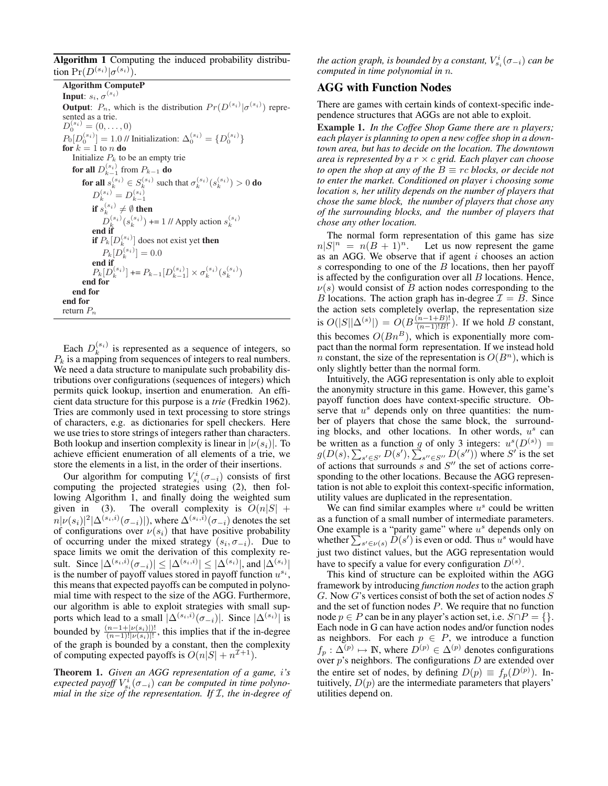Algorithm 1 Computing the induced probability distribution  $Pr(D^{(s_i)} | \sigma^{(s_i)})$ .

Algorithm ComputeP **Input**:  $s_i$ ,  $\sigma^{(s_i)}$ **Output**:  $P_n$ , which is the distribution  $Pr(D^{(s_i)} | \sigma^{(s_i)})$  represented as a trie.  $D_0^{(s_i)} = (0, \ldots, 0)$  $P_0[D_0^{(s_i)}] = 1.0 \text{ // Initialization: } \Delta_0^{(s_i)} = \{D_0^{(s_i)}\}$ for  $k=1$  to  $n$  do Initialize  $P_k$  to be an empty trie for all  $D_{k-1}^{(s_i)}$  from  $P_{k-1}$  do for all  $s_k^{(s_i)} \in S_k^{(s_i)}$  such that  $\sigma_k^{(s_i)}(s_k^{(s_i)}) > 0$  do  $D_k^{(s_i)} = D_{k-1}^{(s_i)}$ if  $s_k^{(s_i)} \neq \emptyset$  then  $D_k^{(s_i)}(s_k^{(s_i)})$  += 1 // Apply action  $s_k^{(s_i)}$ <br>end if if  $P_k[D_k^{(s_i)}]$  does not exist yet then  $P_k[D_k^{(s_i)}] = 0.0$ end if  $P_k[D_k^{(s_i)}] \mathrel{+}= P_{k-1}[D_{k-1}^{(s_i)}] \times \sigma_k^{(s_i)}(s_k^{(s_i)})$ end for end for end for return  $P_n$ 

Each  $D_k^{(s_i)}$  is represented as a sequence of integers, so  $P_k$  is a mapping from sequences of integers to real numbers. We need a data structure to manipulate such probability distributions over configurations (sequences of integers) which permits quick lookup, insertion and enumeration. An efficient data structure for this purpose is a *trie* (Fredkin 1962). Tries are commonly used in text processing to store strings of characters, e.g. as dictionaries for spell checkers. Here we use tries to store strings of integers rather than characters. Both lookup and insertion complexity is linear in  $|\nu(s_i)|$ . To achieve efficient enumeration of all elements of a trie, we store the elements in a list, in the order of their insertions.

Our algorithm for computing  $V_{s_i}^i(\sigma_{-i})$  consists of first computing the projected strategies using (2), then following Algorithm 1, and finally doing the weighted sum given in (3). The overall complexity is  $O(n|S| +$  $n|\nu(s_i)|^2|\Delta^{(s_i,i)}(\sigma_{-i})|),$  where  $\Delta^{(s_i,i)}(\sigma_{-i})$  denotes the set of configurations over  $\nu(s_i)$  that have positive probability of occurring under the mixed strategy  $(s_i, \sigma_{-i})$ . Due to space limits we omit the derivation of this complexity result. Since  $|\Delta^{(s_i,i)}(\sigma_{-i})| \leq |\Delta^{(s_i,i)}| \leq |\Delta^{(s_i)}|$ , and  $|\Delta^{(s_i)}|$ is the number of payoff values stored in payoff function  $u^{s_i}$ , this means that expected payoffs can be computed in polynomial time with respect to the size of the AGG. Furthermore, our algorithm is able to exploit strategies with small supports which lead to a small  $|\Delta^{(s_i,i)}(\sigma_{-i})|$ . Since  $|\Delta^{(s_i)}|$  is bounded by  $\frac{(n-1+|\nu(s_i)|)!}{(n-1)!|\nu(s_i)|!}$ , this implies that if the in-degree of the graph is bounded by a constant, then the complexity of computing expected payoffs is  $O(n|S| + n^{I+1})$ .

Theorem 1. *Given an AGG representation of a game,* i*'s*  $e$ xpected payoff  $V_{s_i}^i(\sigma_{-i})$  can be computed in time polyno*mial in the size of the representation. If* I*, the in-degree of*

the action graph, is bounded by a constant,  $V^i_{s_i}(\sigma_{-i})$  can be *computed in time polynomial in* n*.*

## AGG with Function Nodes

There are games with certain kinds of context-specific independence structures that AGGs are not able to exploit.

Example 1. *In the Coffee Shop Game there are* n *players; each player is planning to open a new coffee shop in a downtown area, but has to decide on the location. The downtown area is represented by a* r × c *grid. Each player can choose to open the shop at any of the*  $B \equiv rc$  *blocks, or decide not to enter the market. Conditioned on player* i *choosing some location* s*, her utility depends on the number of players that chose the same block, the number of players that chose any of the surrounding blocks, and the number of players that chose any other location.*

The normal form representation of this game has size  $n|S|^n = n(B+1)^n$ . Let us now represent the game as an AGG. We observe that if agent  $i$  chooses an action s corresponding to one of the  $B$  locations, then her payoff is affected by the configuration over all  $B$  locations. Hence,  $\nu(s)$  would consist of B action nodes corresponding to the B locations. The action graph has in-degree  $\mathcal{I} = B$ . Since the action sets completely overlap, the representation size is  $O(|S||\Delta^{(s)}|) = O(B\frac{(n-1+B)!}{(n-1)!B!}$  $\frac{(n-1+B)!}{(n-1)!B!}$ . If we hold B constant, this becomes  $O(Bn^B)$ , which is exponentially more compact than the normal form representation. If we instead hold n constant, the size of the representation is  $O(B<sup>n</sup>)$ , which is only slightly better than the normal form.

Intuitively, the AGG representation is only able to exploit the anonymity structure in this game. However, this game's payoff function does have context-specific structure. Observe that  $u^s$  depends only on three quantities: the number of players that chose the same block, the surrounding blocks, and other locations. In other words,  $u^s$  can be written as a function g of only 3 integers:  $u^{s}(D^{(s)}) =$  $g(D(s), \sum_{s' \in S'} D(s'), \sum_{s'' \in S''} D(s''))$  where  $S'$  is the set of actions that surrounds  $s$  and  $S''$  the set of actions corresponding to the other locations. Because the AGG representation is not able to exploit this context-specific information, utility values are duplicated in the representation.

We can find similar examples where  $u^s$  could be written as a function of a small number of intermediate parameters. One example is a "parity game" where  $u^s$  depends only on One example is a "parity game" where  $u^s$  depends only on whether  $\sum_{s' \in \nu(s)} D(s')$  is even or odd. Thus  $u^s$  would have just two distinct values, but the AGG representation would have to specify a value for every configuration  $D^{(s)}$ .

This kind of structure can be exploited within the AGG framework by introducing *function nodes* to the action graph  $G$ . Now  $G$ 's vertices consist of both the set of action nodes  $S$ and the set of function nodes P. We require that no function node  $p \in P$  can be in any player's action set, i.e.  $S \cap P = \{\}.$ Each node in G can have action nodes and/or function nodes as neighbors. For each  $p \in P$ , we introduce a function  $f_p: \Delta^{(p)} \mapsto \mathbb{N}$ , where  $D^{(p)} \in \Delta^{(p)}$  denotes configurations over  $p$ 's neighbors. The configurations  $D$  are extended over the entire set of nodes, by defining  $D(p) \equiv f_p(D^{(p)})$ . Intuitively,  $D(p)$  are the intermediate parameters that players' utilities depend on.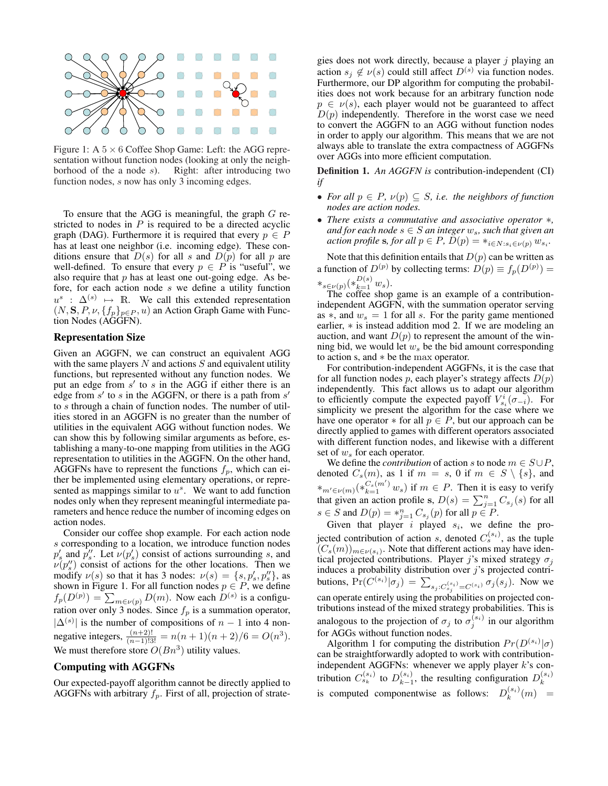

Figure 1: A  $5 \times 6$  Coffee Shop Game: Left: the AGG representation without function nodes (looking at only the neighborhood of the a node s). Right: after introducing two function nodes, *s* now has only 3 incoming edges.

To ensure that the AGG is meaningful, the graph  $G$  restricted to nodes in  $P$  is required to be a directed acyclic graph (DAG). Furthermore it is required that every  $p \in P$ has at least one neighbor (i.e. incoming edge). These conditions ensure that  $D(s)$  for all s and  $D(p)$  for all p are well-defined. To ensure that every  $p \in P$  is "useful", we also require that  $p$  has at least one out-going edge. As before, for each action node s we define a utility function  $u^s$  :  $\Delta^{(s)} \mapsto \mathbb{R}$ . We call this extended representation  $(N, S, P, \nu, \{f_p\}_{p \in P}, u)$  an Action Graph Game with Function Nodes (AGGFN).

### Representation Size

Given an AGGFN, we can construct an equivalent AGG with the same players  $N$  and actions  $S$  and equivalent utility functions, but represented without any function nodes. We put an edge from  $s'$  to s in the AGG if either there is an edge from  $s'$  to s in the AGGFN, or there is a path from  $s'$ to s through a chain of function nodes. The number of utilities stored in an AGGFN is no greater than the number of utilities in the equivalent AGG without function nodes. We can show this by following similar arguments as before, establishing a many-to-one mapping from utilities in the AGG representation to utilities in the AGGFN. On the other hand, AGGFNs have to represent the functions  $f_p$ , which can either be implemented using elementary operations, or represented as mappings similar to  $u^s$ . We want to add function nodes only when they represent meaningful intermediate parameters and hence reduce the number of incoming edges on action nodes.

Consider our coffee shop example. For each action node s corresponding to a location, we introduce function nodes  $p'_s$  and  $p''_s$ . Let  $\nu(p'_s)$  consist of actions surrounding s, and  $\nu(p''_s)$  consist of actions for the other locations. Then we modify  $\nu(s)$  so that it has 3 nodes:  $\nu(s) = \{s, p'_s, p''_s\}$ , as shown in Figure 1. For all function nodes  $p \in P$ , we define shown in Figure 1. For all function holds  $p \in F$ , we define  $f_p(D^{(p)}) = \sum_{m \in \nu(p)} D(m)$ . Now each  $D^{(s)}$  is a configuration over only 3 nodes. Since  $f_p$  is a summation operator,  $|\Delta^{(s)}|$  is the number of compositions of  $n-1$  into 4 nonnegative integers,  $\frac{(n+2)!}{(n-1)!3!} = n(n+1)(n+2)/6 = O(n^3)$ . We must therefore store  $O(Bn^3)$  utility values.

### Computing with AGGFNs

Our expected-payoff algorithm cannot be directly applied to AGGFNs with arbitrary  $f_p$ . First of all, projection of strategies does not work directly, because a player  $j$  playing an action  $s_j \notin \nu(s)$  could still affect  $D^{(s)}$  via function nodes. Furthermore, our DP algorithm for computing the probabilities does not work because for an arbitrary function node  $p \in \nu(s)$ , each player would not be guaranteed to affect  $D(p)$  independently. Therefore in the worst case we need to convert the AGGFN to an AGG without function nodes in order to apply our algorithm. This means that we are not always able to translate the extra compactness of AGGFNs over AGGs into more efficient computation.

Definition 1. *An AGGFN is* contribution-independent (CI) *if*

- For all  $p \in P$ ,  $\nu(p) \subseteq S$ , *i.e.* the neighbors of function *nodes are action nodes.*
- *There exists a commutative and associative operator* ∗*, and for each node*  $s \in S$  *an integer*  $w_s$ *, such that given an action profile* **s***, for all*  $p \in P$ *,*  $\tilde{D}(p) = *_{i \in N : s_i \in \nu(p)} w_{s_i}$ *.*

Note that this definition entails that  $D(p)$  can be written as a function of  $D^{(p)}$  by collecting terms:  $D(p) \equiv f_p(D^{(p)}) =$  $*_s \in \nu(p) (*_{k=1}^{D(s)} w_s).$ 

The coffee shop game is an example of a contributionindependent AGGFN, with the summation operator serving as  $*$ , and  $w_s = 1$  for all s. For the parity game mentioned earlier, ∗ is instead addition mod 2. If we are modeling an auction, and want  $D(p)$  to represent the amount of the winning bid, we would let  $w<sub>s</sub>$  be the bid amount corresponding to action s, and ∗ be the max operator.

For contribution-independent AGGFNs, it is the case that for all function nodes p, each player's strategy affects  $D(p)$ independently. This fact allows us to adapt our algorithm to efficiently compute the expected payoff  $V_{s_i}^i(\sigma_{-i})$ . For simplicity we present the algorithm for the case where we have one operator  $*$  for all  $p \in P$ , but our approach can be directly applied to games with different operators associated with different function nodes, and likewise with a different set of  $w_s$  for each operator.

We define the *contribution* of action s to node  $m \in S \cup P$ , denoted  $C_s(m)$ , as 1 if  $m = s$ , 0 if  $m \in S \setminus \{s\}$ , and \*<sub>m'∈v(m)</sub>(\* $c_s(m')$ <sup>'</sup>w<sub>s</sub>) if  $m \in P$ . Then it is easy to verify that given an action profile s,  $D(s) = \sum_{j=1}^{n} C_{s_j}(s)$  for all  $s \in S$  and  $D(p) = *_{j=1}^{n} C_{s_j}(p)$  for all  $p \in P$ .

Given that player i played  $s_i$ , we define the projected contribution of action s, denoted  $C_s^{(s_i)}$ , as the tuple  $(C_s(m))_{m \in \nu(s_i)}$ . Note that different actions may have identical projected contributions. Player j's mixed strategy  $\sigma_i$ induces a probability distribution over  $j$ 's projected contributions,  $Pr(C^{(s_i)} | \sigma_j) = \sum_{s_j : C^{(s_i)}_{s_j} = C^{(s_i)}} \sigma_j(s_j)$ . Now we can operate entirely using the probabilities on projected contributions instead of the mixed strategy probabilities. This is analogous to the projection of  $\sigma_j$  to  $\sigma_j^{(s_i)}$  in our algorithm for AGGs without function nodes.

Algorithm 1 for computing the distribution  $Pr(D^{(s_i)}|\sigma)$ can be straightforwardly adopted to work with contributionindependent AGGFNs: whenever we apply player  $k$ 's contribution  $C_{s_k}^{(s_i)}$  to  $D_{k-1}^{(s_i)}$ , the resulting configuration  $D_k^{(s_i)}$ is computed componentwise as follows:  $D_k^{(s_i)}(m)$  =